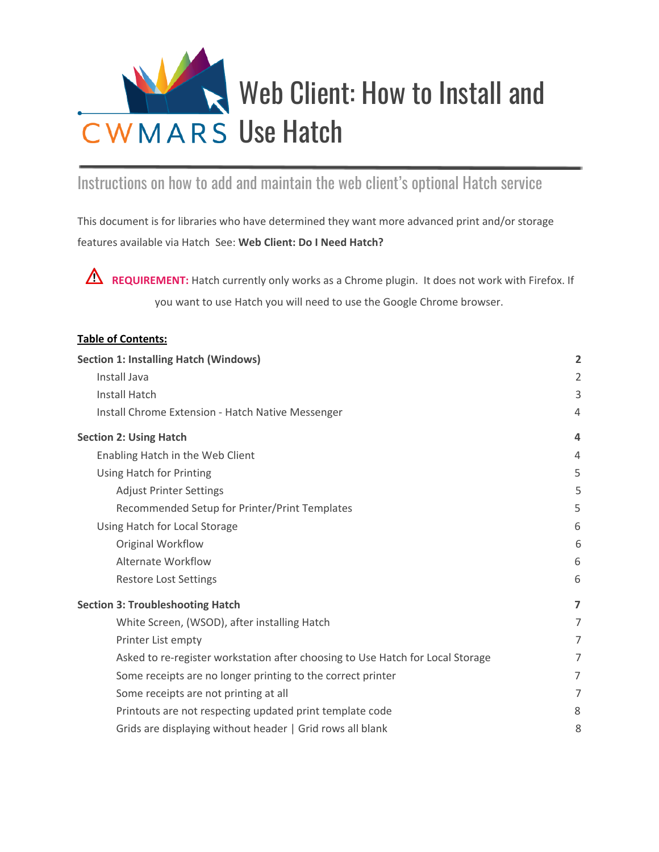

## Instructions on how to add and maintain the web client's optional Hatch service

This document is for libraries who have determined they want more advanced print and/or storage features available via Hatch See: **Web Client: Do I Need Hatch?**

**REQUIREMENT:** Hatch currently only works as a Chrome plugin. It does not work with Firefox. If you want to use Hatch you will need to use the Google Chrome browser.

| <b>Table of Contents:</b>                                                      |                |
|--------------------------------------------------------------------------------|----------------|
| <b>Section 1: Installing Hatch (Windows)</b>                                   | $\overline{2}$ |
| Install Java                                                                   | $\overline{2}$ |
| <b>Install Hatch</b>                                                           | 3              |
| Install Chrome Extension - Hatch Native Messenger                              | 4              |
| <b>Section 2: Using Hatch</b>                                                  | 4              |
| Enabling Hatch in the Web Client                                               | 4              |
| Using Hatch for Printing                                                       | 5              |
| <b>Adjust Printer Settings</b>                                                 | 5              |
| Recommended Setup for Printer/Print Templates                                  | 5              |
| Using Hatch for Local Storage                                                  | 6              |
| Original Workflow                                                              | 6              |
| <b>Alternate Workflow</b>                                                      | 6              |
| <b>Restore Lost Settings</b>                                                   | 6              |
| <b>Section 3: Troubleshooting Hatch</b>                                        | $\overline{ }$ |
| White Screen, (WSOD), after installing Hatch                                   | $\overline{7}$ |
| Printer List empty                                                             | 7              |
| Asked to re-register workstation after choosing to Use Hatch for Local Storage | 7              |
| Some receipts are no longer printing to the correct printer                    | $\overline{7}$ |
| Some receipts are not printing at all                                          | 7              |
| Printouts are not respecting updated print template code                       | 8              |
| Grids are displaying without header   Grid rows all blank                      | 8              |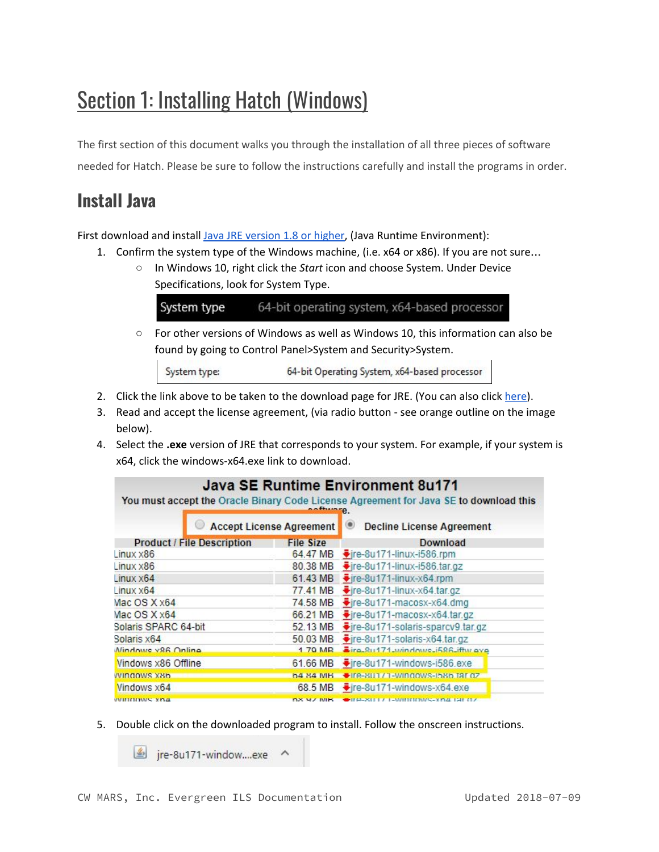# <span id="page-1-0"></span>Section 1: Installing Hatch (Windows)

The first section of this document walks you through the installation of all three pieces of software needed for Hatch. Please be sure to follow the instructions carefully and install the programs in order.

## <span id="page-1-1"></span>**Install Java**

First download and install Java JRE [version](http://www.oracle.com/technetwork/java/javase/downloads/jre8-downloads-2133155.html) 1.8 or higher, (Java Runtime Environment):

- 1. Confirm the system type of the Windows machine, (i.e. x64 or x86). If you are not sure…
	- In Windows 10, right click the *Start* icon and choose System. Under Device Specifications, look for System Type.

System type 64-bit operating system, x64-based processor

○ For other versions of Windows as well as Windows 10, this information can also be found by going to Control Panel>System and Security>System.

System type: 64-bit Operating System, x64-based processor

- 2. Click the link above to be taken to the download page for JRE. (You can also click [here\)](http://www.oracle.com/technetwork/java/javase/downloads/jre8-downloads-2133155.html).
- 3. Read and accept the license agreement, (via radio button see orange outline on the image below).
- 4. Select the **.exe** version of JRE that corresponds to your system. For example, if your system is x64, click the windows-x64.exe link to download.

|                                   |                                 | Java SE Runtime Environment 8u171<br>You must accept the Oracle Binary Code License Agreement for Java SE to download this |
|-----------------------------------|---------------------------------|----------------------------------------------------------------------------------------------------------------------------|
|                                   | <b>Accept License Agreement</b> | <b>Decline License Agreement</b>                                                                                           |
| <b>Product / File Description</b> | <b>File Size</b>                | Download                                                                                                                   |
| Linux × 86                        | 64.47 MB                        | Fire-8u171-linux-i586.rpm                                                                                                  |
| Linux × 86                        | 80.38 MB                        | Fire-8u171-linux-i586.tar.gz                                                                                               |
| Linux × 64                        | 61.43 MB                        | $\frac{1}{2}$ ire-8u171-linux-x64.rpm                                                                                      |
| Linux × 64                        | 77.41 MB                        | $\frac{1}{2}$ ire-8u171-linux-x64.tar.gz                                                                                   |
| Mac OS X x64                      | 74.58 MB                        | Fire-8u171-macosx-x64.dmg                                                                                                  |
| Mac OS X x64                      | 66.21 MB                        | Fire-8u171-macosx-x64.tar.gz                                                                                               |
| Solaris SPARC 64-bit              | 52.13 MB                        | Fire-8u171-solaris-sparcv9.tar.gz                                                                                          |
| Solaris x64                       | 50.03 MB                        | +jre-8u171-solaris-x64.tar.gz                                                                                              |
| Mindowe v96 Online                | 1 70 MR                         | Fire_Ru171_windows_i586_iftw.gyp                                                                                           |
| Vindows x86 Offline               | 61.66 MB                        | Fire-8u171-windows-i586.exe                                                                                                |
| windows x8b                       | <b>64 84 MB</b>                 | Tre-80177-Windows-b8b far dz                                                                                               |
| Vindows x64                       | 68.5 MB                         | ₩ire-8u171-windows-x64.exe                                                                                                 |
| <b>WILLIAM WAS SUBJECT</b>        | <b>DX YZ MB</b>                 | <b>CHP-8017-PMINNING-XB418010</b>                                                                                          |

5. Double click on the downloaded program to install. Follow the onscreen instructions.

jre-8u171-window....exe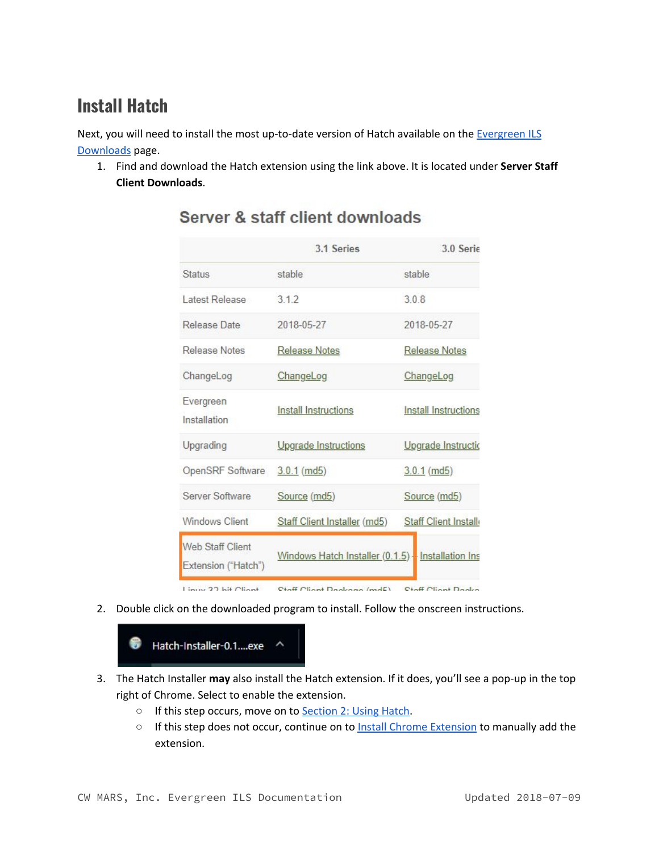## <span id="page-2-0"></span>**Install Hatch**

Next, you will need to install the most up-to-date version of Hatch available on the [Evergreen](https://evergreen-ils.org/egdownloads/) ILS [Downloads](https://evergreen-ils.org/egdownloads/) page.

1. Find and download the Hatch extension using the link above. It is located under **Server Staff Client Downloads**.

|                                         | 3.1 Series                      | 3.0 Serie                   |  |
|-----------------------------------------|---------------------------------|-----------------------------|--|
| <b>Status</b>                           | stable                          | stable                      |  |
| Latest Release                          | 312                             | 308                         |  |
| Release Date                            | 2018-05-27                      | 2018-05-27                  |  |
| Release Notes                           | <b>Release Notes</b>            | <b>Release Notes</b>        |  |
| ChangeLog                               | ChangeLog                       | ChangeLog                   |  |
| Evergreen<br>Installation               | Install Instructions            | <b>Install Instructions</b> |  |
| Upgrading                               | Upgrade Instructions            | Upgrade Instructio          |  |
| OpenSRF Software                        | $3.0.1$ (md5)                   | $3.0.1$ (md5)               |  |
| Server Software                         | Source (md5)                    | Source (md5)                |  |
| Windows Client                          | Staff Client Installer (md5)    | <b>Staff Client Install</b> |  |
| Web Staff Client<br>Extension ("Hatch") | Windows Hatch Installer (0.1.5) | Installation Ins            |  |
| $\lim_{n\to\infty}$ 22 kit Client       | Ctaff Client Dagleson (mdE)     | Ctaff Client Dadra          |  |

#### Server & staff client downloads

2. Double click on the downloaded program to install. Follow the onscreen instructions.



- 3. The Hatch Installer **may** also install the Hatch extension. If it does, you'll see a pop-up in the top right of Chrome. Select to enable the extension.
	- If this step occurs, move on to [Section](#page-3-1) 2: Using Hatch.
	- o If this step does not occur, continue on to Install Chrome [Extension](#page-3-0) to manually add the extension.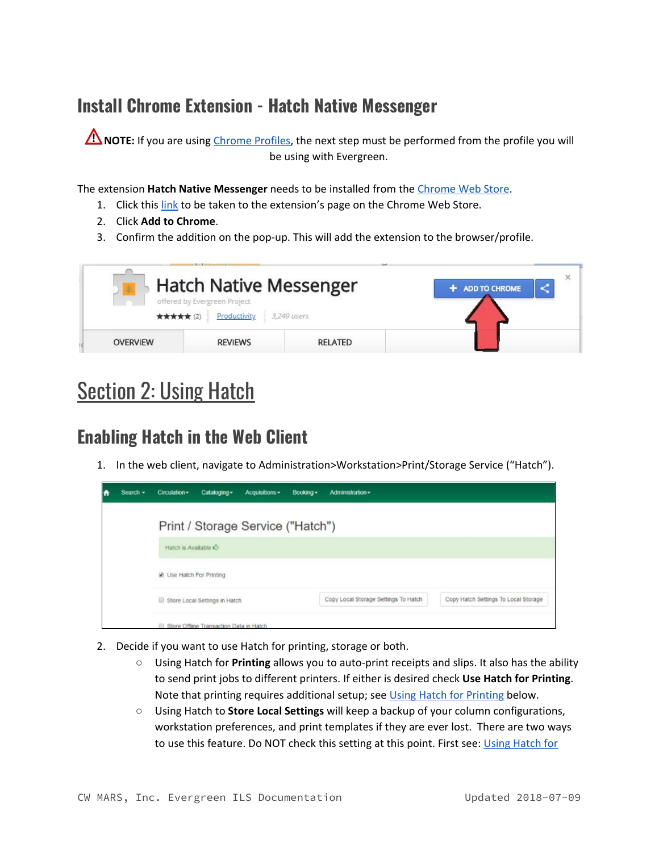## <span id="page-3-0"></span>**Install Chrome Extension - Hatch Native Messenger**

**A** NOTE: If you are using [Chrome](https://docs.google.com/document/d/1G9o0OkBtZZs46ao788vn--CHfEEVeLnpVa0jLPwDUhI/edit?usp=sharing) Profiles, the next step must be performed from the profile you will be using with Evergreen.

The extension **Hatch Native Messenger** needs to be installed from the [Chrome](https://chrome.google.com/webstore/category/extensions) Web Store.

- 1. Click this [link](https://chrome.google.com/webstore/detail/hatch-native-messenger/ppooibdipmklfichpmkcgplfgdplgahl) to be taken to the extension's page on the Chrome Web Store.
- 2. Click **Add to Chrome**.
- 3. Confirm the addition on the pop-up. This will add the extension to the browser/profile.



# <span id="page-3-1"></span>**Section 2: Using Hatch**

## <span id="page-3-2"></span>**Enabling Hatch in the Web Client**

1. In the web client, navigate to Administration>Workstation>Print/Storage Service ("Hatch").

| A | Search $-$ | Circulation -          | Cataloging -                            | Acquisitions -                    | Booking - | Administration -                     |                                      |
|---|------------|------------------------|-----------------------------------------|-----------------------------------|-----------|--------------------------------------|--------------------------------------|
|   |            |                        |                                         | Print / Storage Service ("Hatch") |           |                                      |                                      |
|   |            | Hatch is Available io  |                                         |                                   |           |                                      |                                      |
|   |            | Use Hatch For Printing |                                         |                                   |           |                                      |                                      |
|   |            |                        | Store Local Settings in Hatch           |                                   |           | Copy Local Storage Settings To Hatch | Copy Hatch Settings To Local Storage |
|   |            |                        | Store Offline Transaction Data in Hatch |                                   |           |                                      |                                      |

- 2. Decide if you want to use Hatch for printing, storage or both.
	- Using Hatch for **Printing** allows you to auto-print receipts and slips. It also has the ability to send print jobs to different printers. If either is desired check **Use Hatch for Printing**. Note that printing requires additional setup; see Using Hatch for [Printing](#page-4-0) below.
	- Using Hatch to **Store Local Settings** will keep a backup of your column configurations, workstation preferences, and print templates if they are ever lost. There are two ways to use this feature. Do NOT check this setting at this point. First see: Using [Hatch](#page-5-1) for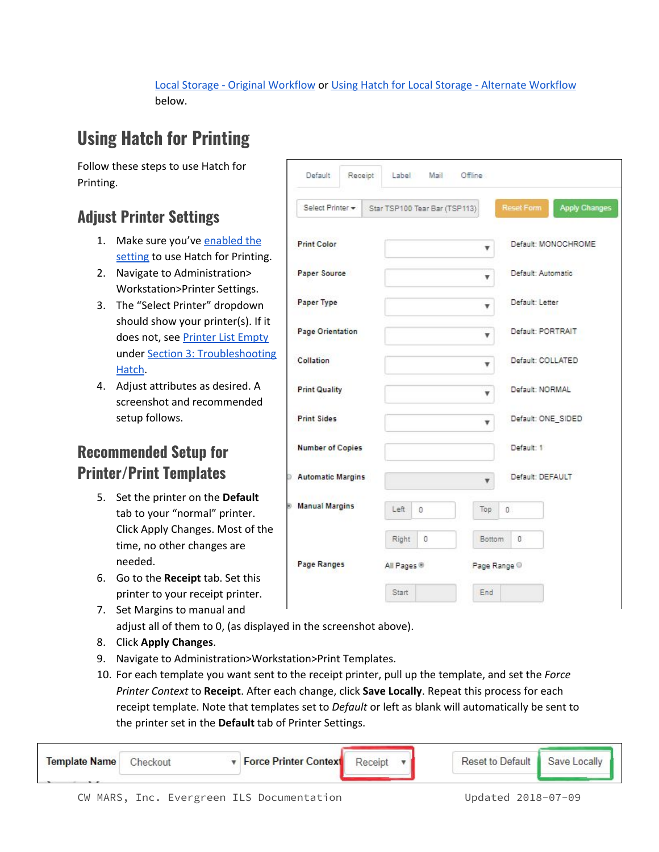#### Local [Storage](#page-5-1) - Original [Workflow](#page-5-1) or Using Hatch for Local Storage - Alternate [Workflow](#page-5-2) below.

## <span id="page-4-0"></span>**Using Hatch for Printing**

Follow these steps to use Hatch for Printing.

## <span id="page-4-1"></span>**Adjust Printer Settings**

- 1. Make sure you've [enabled](#page-3-2) the [setting](#page-3-2) to use Hatch for Printing.
- 2. Navigate to Administration> Workstation>Printer Settings.
- 3. The "Select Printer" dropdown should show your printer(s). If it does not, see [Printer](#page-6-2) List Empty under Section 3: [Troubleshooting](#page-6-0) [Hatch](#page-6-0).
- 4. Adjust attributes as desired. A screenshot and recommended setup follows.

## <span id="page-4-2"></span>**Recommended Setup for Printer/Print Templates**

- 5. Set the printer on the **Default** tab to your "normal" printer. Click Apply Changes. Most of the time, no other changes are needed.
- 6. Go to the **Receipt** tab. Set this printer to your receipt printer.
- 7. Set Margins to manual and adjust all of them to 0, (as displayed in the screenshot above).
- 8. Click **Apply Changes**.
- 9. Navigate to Administration>Workstation>Print Templates.
- 10. For each template you want sent to the receipt printer, pull up the template, and set the *Force Printer Context* to **Receipt**. After each change, click **Save Locally**. Repeat this process for each receipt template. Note that templates set to *Default* or left as blank will automatically be sent to the printer set in the **Default** tab of Printer Settings.

| <b>Template Name</b> |  | <b>v</b> Force Printer Context | Receipt | Reset to Default | Save Locally |
|----------------------|--|--------------------------------|---------|------------------|--------------|
|                      |  |                                |         |                  |              |

| Default<br>Receipt       | Label                         | Mail Offline           |                    |                      |  |
|--------------------------|-------------------------------|------------------------|--------------------|----------------------|--|
| Select Printer *         | Star TSP100 Tear Bar (TSP113) |                        | <b>Reset Form</b>  | <b>Apply Changes</b> |  |
| <b>Print Color</b>       |                               | v                      |                    | Default: MONOCHROME  |  |
| Paper Source             |                               | v                      | Default: Automatic |                      |  |
| Paper Type               |                               | ۳                      |                    | Default: Letter      |  |
| Page Orientation         |                               | v                      | Default: PORTRAIT  |                      |  |
| Collation                |                               | Default: COLLATED<br>۳ |                    |                      |  |
| <b>Print Quality</b>     |                               | v                      | Default: NORMAL    |                      |  |
| <b>Print Sides</b>       |                               | v                      | Default: ONE SIDED |                      |  |
| <b>Number of Copies</b>  |                               |                        | Default: 1         |                      |  |
| <b>Automatic Margins</b> |                               |                        | Default: DEFAULT   |                      |  |
| <b>Manual Margins</b>    | Left<br>0                     | Top                    | 0                  |                      |  |
|                          | Right<br>0                    | Bottom                 | O                  |                      |  |
| Page Ranges              | All Pages <sup>®</sup>        |                        | Page Range ©       |                      |  |
|                          | Start                         | End                    |                    |                      |  |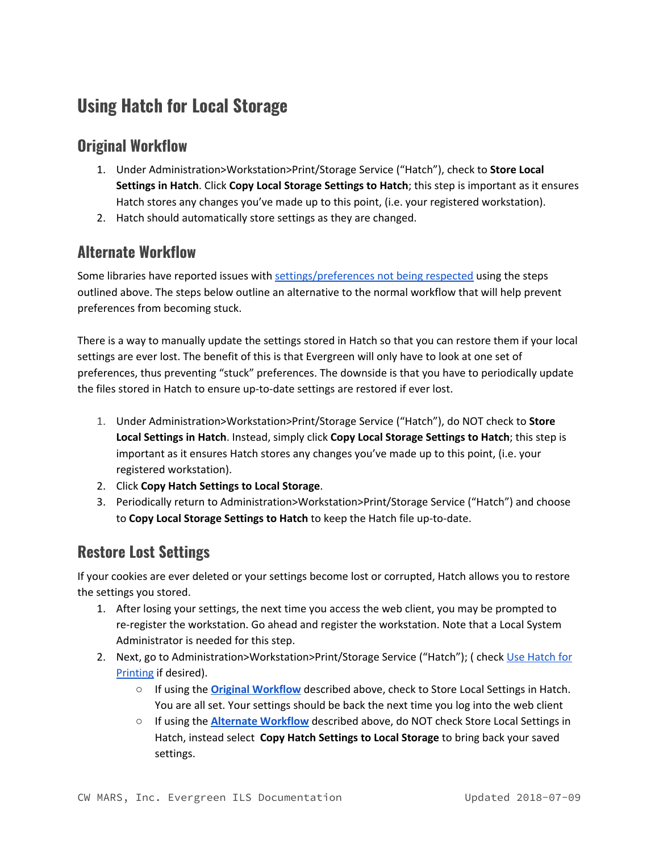## <span id="page-5-0"></span>**Using Hatch for Local Storage**

#### <span id="page-5-1"></span>**Original Workflow**

- 1. Under Administration>Workstation>Print/Storage Service ("Hatch"), check to **Store Local Settings in Hatch**. Click **Copy Local Storage Settings to Hatch**; this step is important as it ensures Hatch stores any changes you've made up to this point, (i.e. your registered workstation).
- 2. Hatch should automatically store settings as they are changed.

#### <span id="page-5-2"></span>**Alternate Workflow**

Some libraries have reported issues with [settings/preferences](#page-6-0) not being respected using the steps outlined above. The steps below outline an alternative to the normal workflow that will help prevent preferences from becoming stuck.

There is a way to manually update the settings stored in Hatch so that you can restore them if your local settings are ever lost. The benefit of this is that Evergreen will only have to look at one set of preferences, thus preventing "stuck" preferences. The downside is that you have to periodically update the files stored in Hatch to ensure up-to-date settings are restored if ever lost.

- 1. Under Administration>Workstation>Print/Storage Service ("Hatch"), do NOT check to **Store Local Settings in Hatch**. Instead, simply click **Copy Local Storage Settings to Hatch**; this step is important as it ensures Hatch stores any changes you've made up to this point, (i.e. your registered workstation).
- 2. Click **Copy Hatch Settings to Local Storage**.
- 3. Periodically return to Administration>Workstation>Print/Storage Service ("Hatch") and choose to **Copy Local Storage Settings to Hatch** to keep the Hatch file up-to-date.

#### <span id="page-5-3"></span>**Restore Lost Settings**

If your cookies are ever deleted or your settings become lost or corrupted, Hatch allows you to restore the settings you stored.

- 1. After losing your settings, the next time you access the web client, you may be prompted to re-register the workstation. Go ahead and register the workstation. Note that a Local System Administrator is needed for this step.
- 2. Next, go to Administration>Workstation>Print/Storage Service ("[Hatch](#page-4-0)"); ( check Use Hatch for [Printing](#page-4-0) if desired).
	- If using the **Original [Workflow](#page-5-1)** described above, check to Store Local Settings in Hatch. You are all set. Your settings should be back the next time you log into the web client
	- If using the **Alternate [Workflow](#page-5-2)** described above, do NOT check Store Local Settings in Hatch, instead select **Copy Hatch Settings to Local Storage** to bring back your saved settings.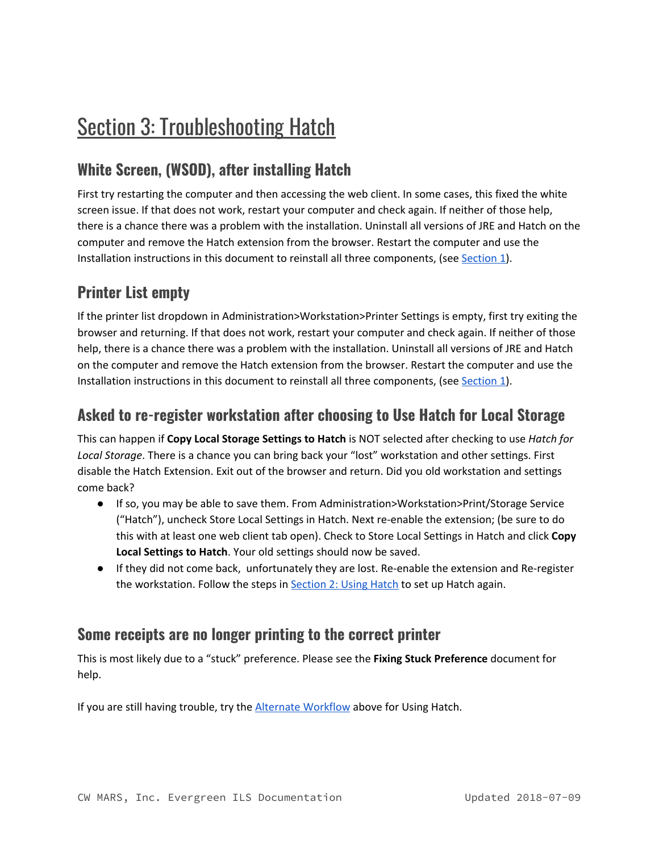# <span id="page-6-0"></span>**Section 3: Troubleshooting Hatch**

## <span id="page-6-1"></span>**White Screen, (WSOD), after installing Hatch**

First try restarting the computer and then accessing the web client. In some cases, this fixed the white screen issue. If that does not work, restart your computer and check again. If neither of those help, there is a chance there was a problem with the installation. Uninstall all versions of JRE and Hatch on the computer and remove the Hatch extension from the browser. Restart the computer and use the Installation instructions in this document to reinstall all three components, (see [Section](#page-1-0) 1).

### <span id="page-6-2"></span>**Printer List empty**

If the printer list dropdown in Administration>Workstation>Printer Settings is empty, first try exiting the browser and returning. If that does not work, restart your computer and check again. If neither of those help, there is a chance there was a problem with the installation. Uninstall all versions of JRE and Hatch on the computer and remove the Hatch extension from the browser. Restart the computer and use the Installation instructions in this document to reinstall all three components, (see [Section](#page-1-0) 1).

#### <span id="page-6-3"></span>**Asked to re-register workstation after choosing to Use Hatch for Local Storage**

This can happen if **Copy Local Storage Settings to Hatch** is NOT selected after checking to use *Hatch for Local Storage*. There is a chance you can bring back your "lost" workstation and other settings. First disable the Hatch Extension. Exit out of the browser and return. Did you old workstation and settings come back?

- If so, you may be able to save them. From Administration>Workstation>Print/Storage Service ("Hatch"), uncheck Store Local Settings in Hatch. Next re-enable the extension; (be sure to do this with at least one web client tab open). Check to Store Local Settings in Hatch and click **Copy Local Settings to Hatch**. Your old settings should now be saved.
- If they did not come back, unfortunately they are lost. Re-enable the extension and Re-register the workstation. Follow the steps in **[Section](#page-3-1) 2: Using Hatch** to set up Hatch again.

#### <span id="page-6-4"></span>**Some receipts are no longer printing to the correct printer**

This is most likely due to a "stuck" preference. Please see the **Fixing Stuck Preference** document for help.

If you are still having trouble, try the **Alternate [Workflow](#page-5-2)** above for Using Hatch.